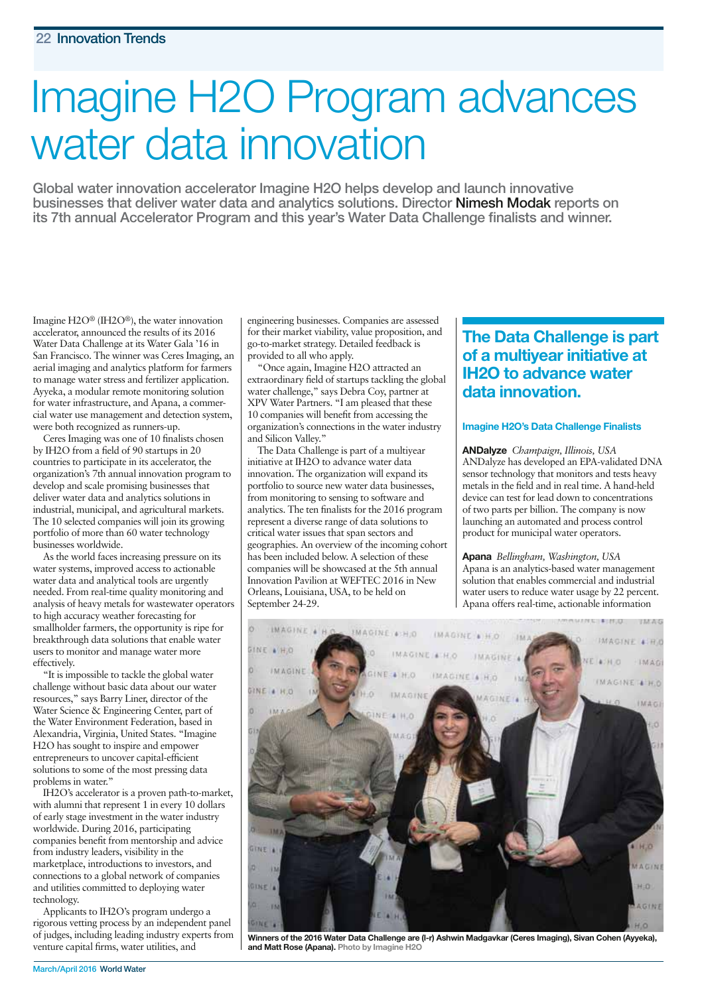# Imagine H2O Program advances water data innovation

**Global water innovation accelerator Imagine H2O helps develop and launch innovative businesses that deliver water data and analytics solutions. Director Nimesh Modak reports on its 7th annual Accelerator Program and this year's Water Data Challenge finalists and winner.**

Imagine H2O® (IH2O®), the water innovation accelerator, announced the results of its 2016 Water Data Challenge at its Water Gala '16 in San Francisco. The winner was Ceres Imaging, an aerial imaging and analytics platform for farmers to manage water stress and fertilizer application. Ayyeka, a modular remote monitoring solution for water infrastructure, and Apana, a commercial water use management and detection system, were both recognized as runners-up.

Ceres Imaging was one of 10 finalists chosen by IH2O from a field of 90 startups in 20 countries to participate in its accelerator, the organization's 7th annual innovation program to develop and scale promising businesses that deliver water data and analytics solutions in industrial, municipal, and agricultural markets. The 10 selected companies will join its growing portfolio of more than 60 water technology businesses worldwide.

As the world faces increasing pressure on its water systems, improved access to actionable water data and analytical tools are urgently needed. From real-time quality monitoring and analysis of heavy metals for wastewater operators to high accuracy weather forecasting for smallholder farmers, the opportunity is ripe for breakthrough data solutions that enable water users to monitor and manage water more effectively.

"It is impossible to tackle the global water challenge without basic data about our water resources," says Barry Liner, director of the Water Science & Engineering Center, part of the Water Environment Federation, based in Alexandria, Virginia, United States. "Imagine H2O has sought to inspire and empower entrepreneurs to uncover capital-efficient solutions to some of the most pressing data problems in water."

IH2O's accelerator is a proven path-to-market, with alumni that represent 1 in every 10 dollars of early stage investment in the water industry worldwide. During 2016, participating companies benefit from mentorship and advice from industry leaders, visibility in the marketplace, introductions to investors, and connections to a global network of companies and utilities committed to deploying water technology.

Applicants to IH2O's program undergo a rigorous vetting process by an independent panel of judges, including leading industry experts from venture capital firms, water utilities, and

engineering businesses. Companies are assessed for their market viability, value proposition, and go-to-market strategy. Detailed feedback is provided to all who apply.

"Once again, Imagine H2O attracted an extraordinary field of startups tackling the global water challenge," says Debra Coy, partner at XPV Water Partners. "I am pleased that these 10 companies will benefit from accessing the organization's connections in the water industry and Silicon Valley."

The Data Challenge is part of a multiyear initiative at IH2O to advance water data innovation. The organization will expand its portfolio to source new water data businesses, from monitoring to sensing to software and analytics. The ten finalists for the 2016 program represent a diverse range of data solutions to critical water issues that span sectors and geographies. An overview of the incoming cohort has been included below. A selection of these companies will be showcased at the 5th annual Innovation Pavilion at WEFTEC 2016 in New Orleans, Louisiana, USA, to be held on September 24-29.

# **The Data Challenge is part of a multiyear initiative at IH2O to advance water data innovation.**

#### **Imagine H2O's Data Challenge Finalists**

**ANDalyze** *Champaign, Illinois, USA* ANDalyze has developed an EPA-validated DNA sensor technology that monitors and tests heavy metals in the field and in real time. A hand-held device can test for lead down to concentrations of two parts per billion. The company is now launching an automated and process control product for municipal water operators.

**Apana** *Bellingham, Washington, USA*  Apana is an analytics-based water management solution that enables commercial and industrial water users to reduce water usage by 22 percent. Apana offers real-time, actionable information



**Winners of the 2016 Water Data Challenge are (l-r) Ashwin Madgavkar (Ceres Imaging), Sivan Cohen (Ayyeka), and Matt Rose (Apana). Photo by Imagine H2O**